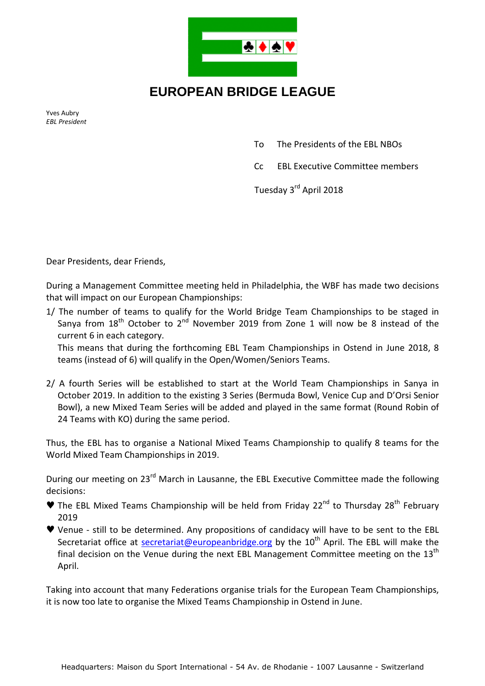

## **EUROPEAN BRIDGE LEAGUE**

Yves Aubry *EBL President* 

- To The Presidents of the EBL NBOs
- Cc EBL Executive Committee members

Tuesday 3rd April 2018

Dear Presidents, dear Friends,

During a Management Committee meeting held in Philadelphia, the WBF has made two decisions that will impact on our European Championships:

1/ The number of teams to qualify for the World Bridge Team Championships to be staged in Sanya from  $18<sup>th</sup>$  October to  $2<sup>nd</sup>$  November 2019 from Zone 1 will now be 8 instead of the current 6 in each category.

This means that during the forthcoming EBL Team Championships in Ostend in June 2018, 8 teams (instead of 6) will qualify in the Open/Women/Seniors Teams.

2/ A fourth Series will be established to start at the World Team Championships in Sanya in October 2019. In addition to the existing 3 Series (Bermuda Bowl, Venice Cup and D'Orsi Senior Bowl), a new Mixed Team Series will be added and played in the same format (Round Robin of 24 Teams with KO) during the same period.

Thus, the EBL has to organise a National Mixed Teams Championship to qualify 8 teams for the World Mixed Team Championships in 2019.

During our meeting on 23<sup>rd</sup> March in Lausanne, the EBL Executive Committee made the following decisions:

- $\blacktriangledown$  The EBL Mixed Teams Championship will be held from Friday 22<sup>nd</sup> to Thursday 28<sup>th</sup> February 2019
- ♥ Venue still to be determined. Any propositions of candidacy will have to be sent to the EBL Secretariat office at secretariat@europeanbridge.org by the  $10<sup>th</sup>$  April. The EBL will make the final decision on the Venue during the next EBL Management Committee meeting on the  $13<sup>th</sup>$ April.

Taking into account that many Federations organise trials for the European Team Championships, it is now too late to organise the Mixed Teams Championship in Ostend in June.